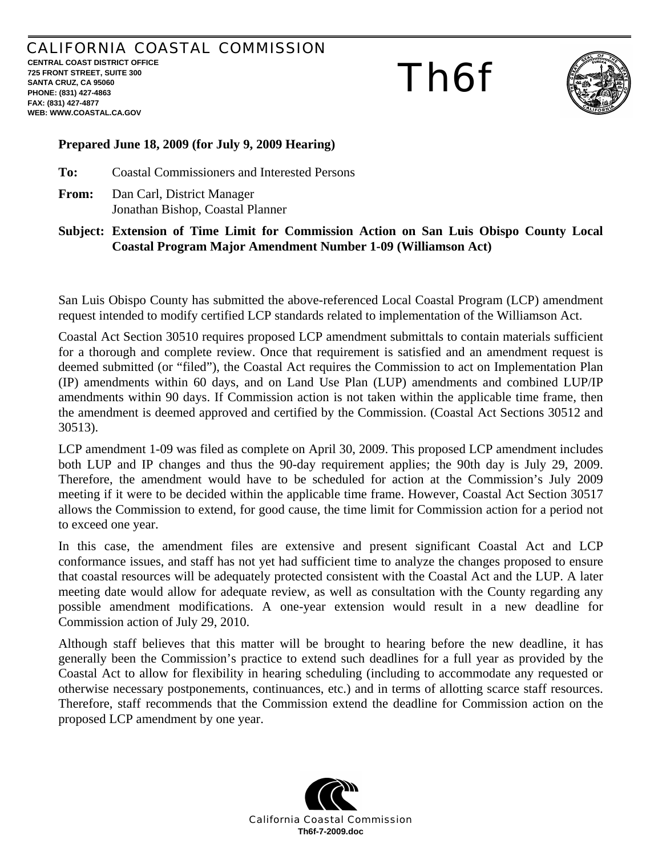## CALIFORNIA COASTAL COMMISSION

**CENTRAL COAST DISTRICT OFFICE 725 FRONT STREET, SUITE 300 SANTA CRUZ, CA 95060 PHONE: (831) 427-4863 FAX: (831) 427-4877 WEB: WWW.COASTAL.CA.GOV**

# Th6f



### **Prepared June 18, 2009 (for July 9, 2009 Hearing)**

**To:** Coastal Commissioners and Interested Persons

**From:** Dan Carl, District Manager Jonathan Bishop, Coastal Planner

#### **Subject: Extension of Time Limit for Commission Action on San Luis Obispo County Local Coastal Program Major Amendment Number 1-09 (Williamson Act)**

San Luis Obispo County has submitted the above-referenced Local Coastal Program (LCP) amendment request intended to modify certified LCP standards related to implementation of the Williamson Act.

Coastal Act Section 30510 requires proposed LCP amendment submittals to contain materials sufficient for a thorough and complete review. Once that requirement is satisfied and an amendment request is deemed submitted (or "filed"), the Coastal Act requires the Commission to act on Implementation Plan (IP) amendments within 60 days, and on Land Use Plan (LUP) amendments and combined LUP/IP amendments within 90 days. If Commission action is not taken within the applicable time frame, then the amendment is deemed approved and certified by the Commission. (Coastal Act Sections 30512 and 30513).

LCP amendment 1-09 was filed as complete on April 30, 2009. This proposed LCP amendment includes both LUP and IP changes and thus the 90-day requirement applies; the 90th day is July 29, 2009. Therefore, the amendment would have to be scheduled for action at the Commission's July 2009 meeting if it were to be decided within the applicable time frame. However, Coastal Act Section 30517 allows the Commission to extend, for good cause, the time limit for Commission action for a period not to exceed one year.

In this case, the amendment files are extensive and present significant Coastal Act and LCP conformance issues, and staff has not yet had sufficient time to analyze the changes proposed to ensure that coastal resources will be adequately protected consistent with the Coastal Act and the LUP. A later meeting date would allow for adequate review, as well as consultation with the County regarding any possible amendment modifications. A one-year extension would result in a new deadline for Commission action of July 29, 2010.

Although staff believes that this matter will be brought to hearing before the new deadline, it has generally been the Commission's practice to extend such deadlines for a full year as provided by the Coastal Act to allow for flexibility in hearing scheduling (including to accommodate any requested or otherwise necessary postponements, continuances, etc.) and in terms of allotting scarce staff resources. Therefore, staff recommends that the Commission extend the deadline for Commission action on the proposed LCP amendment by one year.